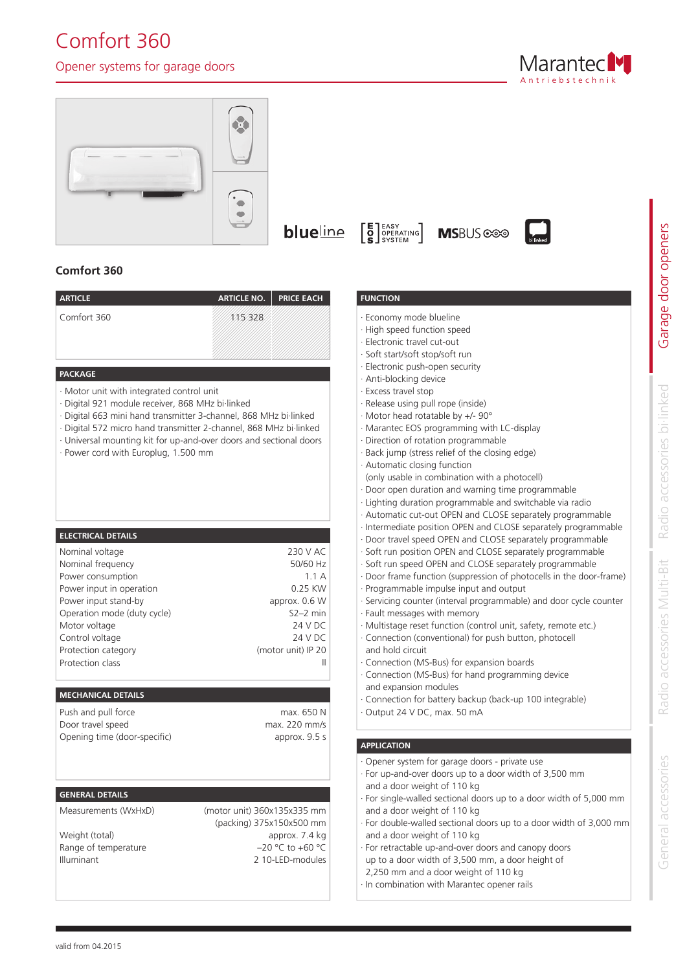# Comfort 360

# Opener systems for garage doors







 $\begin{bmatrix} \mathsf{E} \\ \mathsf{O} \\ \mathsf{S} \end{bmatrix}_{\text{SYSTEM}}^{\text{easy}}$ 



# **Comfort 360**

| <b>ARTICLE</b> | ARTICLE NO. PRICE EACH |  |
|----------------|------------------------|--|
| Comfort 360    | 115328                 |  |
|                |                        |  |
|                |                        |  |

## **PACKAGE**

- · Motor unit with integrated control unit
- · Digital 921 module receiver, 868 MHz bi∙linked
- · Digital 663 mini hand transmitter 3-channel, 868 MHz bi∙linked
- · Digital 572 micro hand transmitter 2-channel, 868 MHz bi∙linked
- · Universal mounting kit for up-and-over doors and sectional doors
- · Power cord with Europlug, 1.500 mm

# **ELECTRICAL DETAILS**

| 230 V AC           |
|--------------------|
| 50/60 Hz           |
| 1.1A               |
| 0.25 KW            |
| approx. 0.6 W      |
| $S2-2$ min         |
| 24 V DC            |
| 24 V DC            |
| (motor unit) IP 20 |
|                    |
|                    |

### **MECHANICAL DETAILS**

| Push and pull force          | max. 650 N    |
|------------------------------|---------------|
| Door travel speed            | max. 220 mm/s |
| Opening time (door-specific) | approx. 9.5 s |

# **GENERAL DETAILS**

Measurements (WxHxD)

Weight (total) Range of temperature Illuminant

(motor unit) 360x135x335 mm (packing) 375x150x500 mm approx. 7.4 kg  $-20 °C$  to  $+60 °C$ 2 10-LED-modules

## **FUNCTION**

- Economy mode blueline
- · High speed function speed
- Electronic travel cut-out
- Soft start/soft stop/soft run
- Electronic push-open security
- Anti-blocking device
- Excess travel stop
- Release using pull rope (inside)
- · Motor head rotatable by +/- 90°
- · Marantec EOS programming with LC-display
- · Direction of rotation programmable
- Back jump (stress relief of the closing edge)
- Automatic closing function (only usable in combination with a photocell)
- · Door open duration and warning time programmable
- Lighting duration programmable and switchable via radio
- Automatic cut-out OPEN and CLOSE separately programmable
- Intermediate position OPEN and CLOSE separately programmable
- · Door travel speed OPEN and CLOSE separately programmable
- Soft run position OPEN and CLOSE separately programmable
- Soft run speed OPEN and CLOSE separately programmable
- · Door frame function (suppression of photocells in the door-frame)
- · Programmable impulse input and output
- Servicing counter (interval programmable) and door cycle counter
- Fault messages with memory
- Multistage reset function (control unit, safety, remote etc.)
- Connection (conventional) for push button, photocell and hold circuit
- Connection (MS-Bus) for expansion boards
- Connection (MS-Bus) for hand programming device and expansion modules
- Connection for battery backup (back-up 100 integrable)
- Output 24 V DC, max. 50 mA

### **APPLICATION**

- · Opener system for garage doors private use
- For up-and-over doors up to a door width of 3,500 mm and a door weight of 110 kg
- For single-walled sectional doors up to a door width of 5,000 mm and a door weight of 110 kg
- For double-walled sectional doors up to a door width of 3,000 mm and a door weight of 110 kg
- For retractable up-and-over doors and canopy doors up to a door width of 3,500 mm, a door height of
- 2,250 mm and a door weight of 110 kg
- In combination with Marantec opener rails

General accessories

General accessories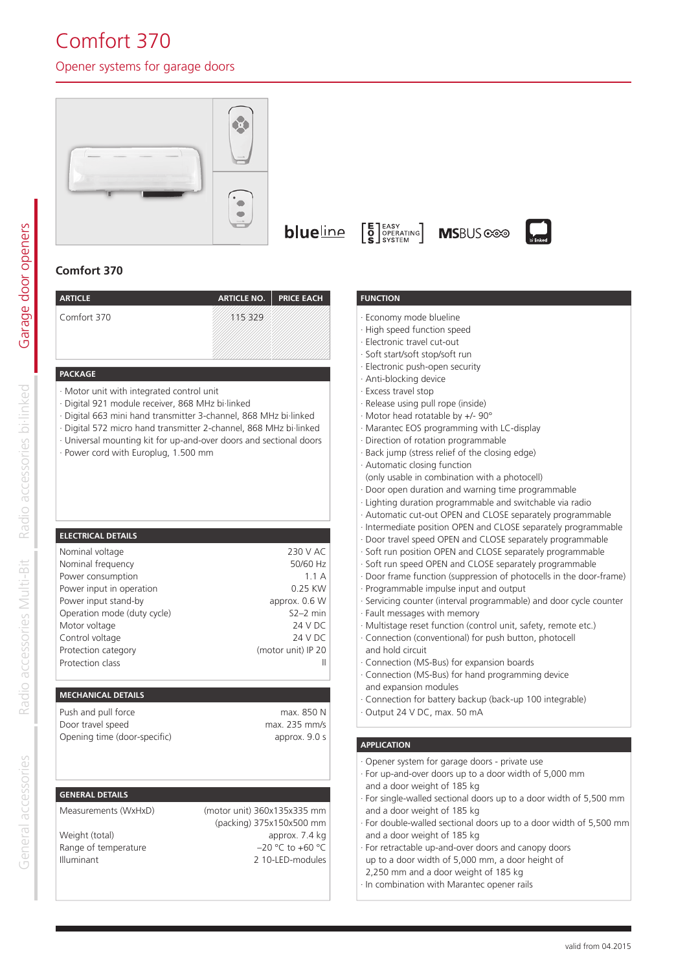# Comfort 370

# Opener systems for garage doors





 $\left[\begin{array}{c}\n**E** \\
**Q** \\
**SPBERTING**\n\end{array}\right]$ **blue**line

**MSBUS** coo



# **Comfort 370**

| <b>ARTICLE</b>                                                                                                                                                    | <b>ARTICLE NO.</b> | <b>PRICE EACH</b> |
|-------------------------------------------------------------------------------------------------------------------------------------------------------------------|--------------------|-------------------|
| Comfort 370                                                                                                                                                       | 329                |                   |
|                                                                                                                                                                   |                    |                   |
|                                                                                                                                                                   |                    |                   |
| <b>PACKAGE</b>                                                                                                                                                    |                    |                   |
| · Motor unit with integrated control unit<br>· Digital 921 module receiver, 868 MHz bi·linked<br>· Digital 663 mini hand transmitter 3-channel, 868 MHz bi linked |                    |                   |
|                                                                                                                                                                   | .                  |                   |

- · Digital 572 micro hand transmitter 2-channel, 868 MHz bi∙linked
- · Universal mounting kit for up-and-over doors and sectional doors
- Power cord with Europlug, 1.500 mm

# **ELECTRICAL DETAILS**

| Nominal voltage             | 230 V AC           |
|-----------------------------|--------------------|
| Nominal frequency           | 50/60 Hz           |
| Power consumption           | 1.1A               |
| Power input in operation    | 0.25 KW            |
| Power input stand-by        | approx. 0.6 W      |
| Operation mode (duty cycle) | $S2-2$ min         |
| Motor voltage               | 24 V DC            |
| Control voltage             | 24 V DC            |
| Protection category         | (motor unit) IP 20 |
| Protection class            |                    |
|                             |                    |

# **MECHANICAL DETAILS**

| Push and pull force          | max. 850 N    |
|------------------------------|---------------|
| Door travel speed            | max. 235 mm/s |
| Opening time (door-specific) | approx. 9.0 s |

# **GENERAL DETAILS**

Measurements (WxHxD)

Weight (total) Range of temperature Illuminant

(motor unit) 360x135x335 mm (packing) 375x150x500 mm approx. 7.4 kg  $-20 °C$  to  $+60 °C$ 2 10-LED-modules

## **FUNCTION**

- Economy mode blueline
- · High speed function speed
- Electronic travel cut-out
- Soft start/soft stop/soft run
- · Electronic push-open security
- Anti-blocking device
- Excess travel stop
- Release using pull rope (inside)
- · Motor head rotatable by +/- 90°
- · Marantec EOS programming with LC-display
- Direction of rotation programmable
- Back jump (stress relief of the closing edge)
- Automatic closing function (only usable in combination with a photocell)
- · Door open duration and warning time programmable
- Lighting duration programmable and switchable via radio
- Automatic cut-out OPEN and CLOSE separately programmable
- Intermediate position OPEN and CLOSE separately programmable
- · Door travel speed OPEN and CLOSE separately programmable
- Soft run position OPEN and CLOSE separately programmable
- Soft run speed OPEN and CLOSE separately programmable
- · Door frame function (suppression of photocells in the door-frame)
- · Programmable impulse input and output
- Servicing counter (interval programmable) and door cycle counter
- Fault messages with memory
- Multistage reset function (control unit, safety, remote etc.)
- Connection (conventional) for push button, photocell
- and hold circuit
- Connection (MS-Bus) for expansion boards
- Connection (MS-Bus) for hand programming device and expansion modules
- Connection for battery backup (back-up 100 integrable)
- Output 24 V DC, max. 50 mA

### **APPLICATION**

- · Opener system for garage doors private use
- For up-and-over doors up to a door width of 5,000 mm and a door weight of 185 kg
- For single-walled sectional doors up to a door width of 5,500 mm and a door weight of 185 kg
- For double-walled sectional doors up to a door width of 5,500 mm and a door weight of 185 kg
- For retractable up-and-over doors and canopy doors up to a door width of 5,000 mm, a door height of
- 2,250 mm and a door weight of 185 kg
- In combination with Marantec opener rails

Garage door openers

Garage door openers

General accessories General accessories